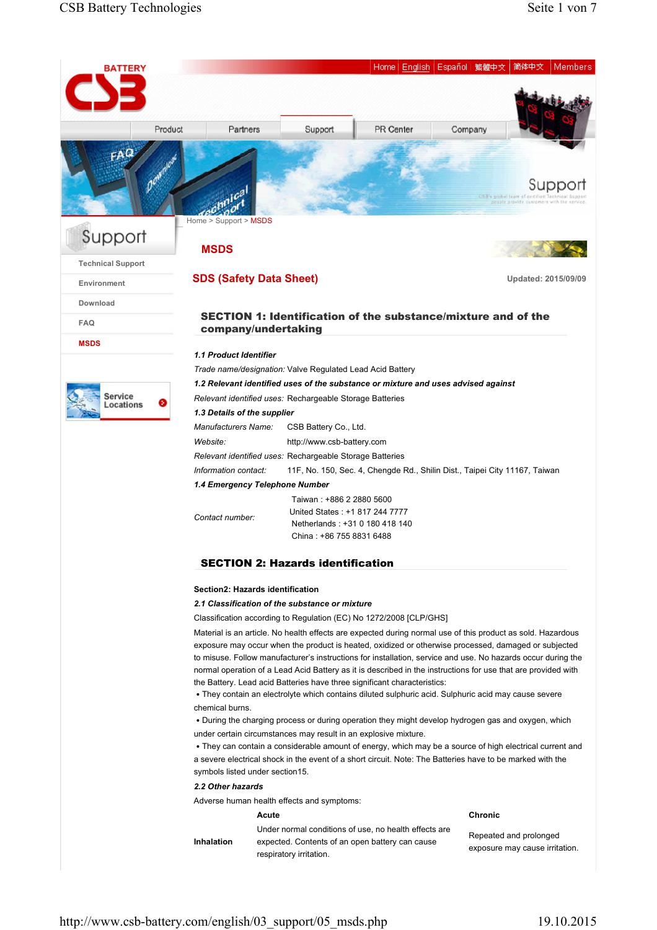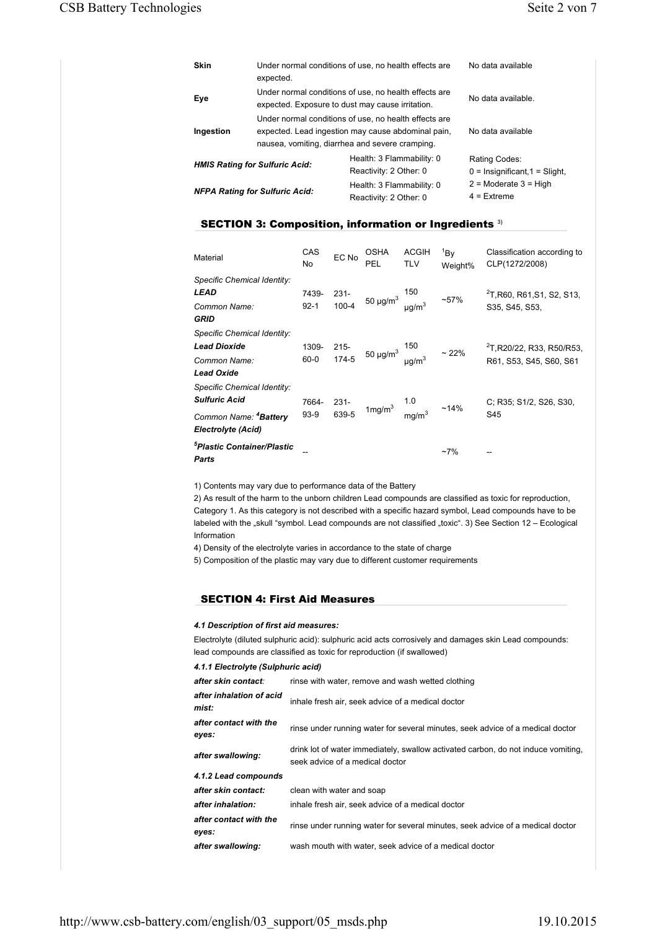| Skin                                  | Under normal conditions of use, no health effects are<br>expected.                                                                                             | No data available                                   |                                                     |
|---------------------------------------|----------------------------------------------------------------------------------------------------------------------------------------------------------------|-----------------------------------------------------|-----------------------------------------------------|
| Eye                                   | Under normal conditions of use, no health effects are<br>expected. Exposure to dust may cause irritation.                                                      | No data available.                                  |                                                     |
| Ingestion                             | Under normal conditions of use, no health effects are<br>expected. Lead ingestion may cause abdominal pain,<br>nausea, vomiting, diarrhea and severe cramping. | No data available                                   |                                                     |
|                                       | <b>HMIS Rating for Sulfuric Acid:</b>                                                                                                                          | Health: 3 Flammability: 0<br>Reactivity: 2 Other: 0 | Rating Codes:<br>$0 =$ Insignificant, $1 =$ Slight, |
| <b>NFPA Rating for Sulfuric Acid:</b> |                                                                                                                                                                | Health: 3 Flammability: 0<br>Reactivity: 2 Other: 0 | $2$ = Moderate $3$ = High<br>$4$ = Extreme          |

# SECTION 3: Composition, information or Ingredients **3)**

| Material                                                                                                       | CAS<br>No.        | EC No            | <b>OSHA</b><br>PEL                                                   | <b>ACGIH</b><br><b>TLV</b> | 18v<br>Weight% | Classification according to<br>CLP(1272/2008)                    |
|----------------------------------------------------------------------------------------------------------------|-------------------|------------------|----------------------------------------------------------------------|----------------------------|----------------|------------------------------------------------------------------|
| Specific Chemical Identity:<br><b>LEAD</b><br>Common Name:<br>GRID                                             | 7439-<br>$92 - 1$ | $231 -$          | 231-<br>100-4 50 µg/m <sup>3</sup> µg/m <sup>3</sup> ~57%            |                            |                | <sup>2</sup> T, R60, R61, S1, S2, S13,<br>S35, S45, S53,         |
| Specific Chemical Identity:<br><b>Lead Dioxide</b><br>Common Name:<br><b>Lead Oxide</b>                        | 1309-<br>$60 - 0$ |                  | 215-<br>174-5 50 $\mu$ g/m <sup>3</sup> $\mu$ g/m <sup>3</sup> ~ 22% |                            |                | <sup>2</sup> T, R20/22, R33, R50/R53,<br>R61, S53, S45, S60, S61 |
| Specific Chemical Identity:<br><b>Sulfuric Acid</b><br>Common Name: <sup>4</sup> Battery<br>Electrolyte (Acid) | 7664-<br>$93-9$   | $231 -$<br>639-5 | 1mg/m <sup>3</sup> $\frac{1.0}{mg/m^3}$ ~14%                         |                            |                | C; R35; S1/2, S26, S30,<br>S45                                   |
| <sup>5</sup> Plastic Container/Plastic<br>Parts                                                                |                   |                  |                                                                      |                            | $~17\%$        |                                                                  |

1) Contents may vary due to performance data of the Battery

2) As result of the harm to the unborn children Lead compounds are classified as toxic for reproduction, Category 1. As this category is not described with a specific hazard symbol, Lead compounds have to be labeled with the "skull "symbol. Lead compounds are not classified "toxic". 3) See Section 12 - Ecological Information

4) Density of the electrolyte varies in accordance to the state of charge

5) Composition of the plastic may vary due to different customer requirements

# SECTION 4: First Aid Measures

### *4.1 Description of first aid measures:*

Electrolyte (diluted sulphuric acid): sulphuric acid acts corrosively and damages skin Lead compounds: lead compounds are classified as toxic for reproduction (if swallowed)

|  | 4.1.1 Electrolyte (Sulphuric acid) |  |  |  |  |
|--|------------------------------------|--|--|--|--|
|--|------------------------------------|--|--|--|--|

| after skin contact:               | rinse with water, remove and wash wetted clothing                                                                    |
|-----------------------------------|----------------------------------------------------------------------------------------------------------------------|
| after inhalation of acid<br>mist: | inhale fresh air, seek advice of a medical doctor                                                                    |
| after contact with the<br>eyes:   | rinse under running water for several minutes, seek advice of a medical doctor                                       |
| after swallowing:                 | drink lot of water immediately, swallow activated carbon, do not induce vomiting,<br>seek advice of a medical doctor |
| 4.1.2 Lead compounds              |                                                                                                                      |
| after skin contact:               | clean with water and soap                                                                                            |
| after inhalation:                 | inhale fresh air, seek advice of a medical doctor                                                                    |
| after contact with the<br>eyes:   | rinse under running water for several minutes, seek advice of a medical doctor                                       |
| after swallowing:                 | wash mouth with water, seek advice of a medical doctor                                                               |

http://www.csb-battery.com/english/03\_support/05\_msds.php 19.10.2015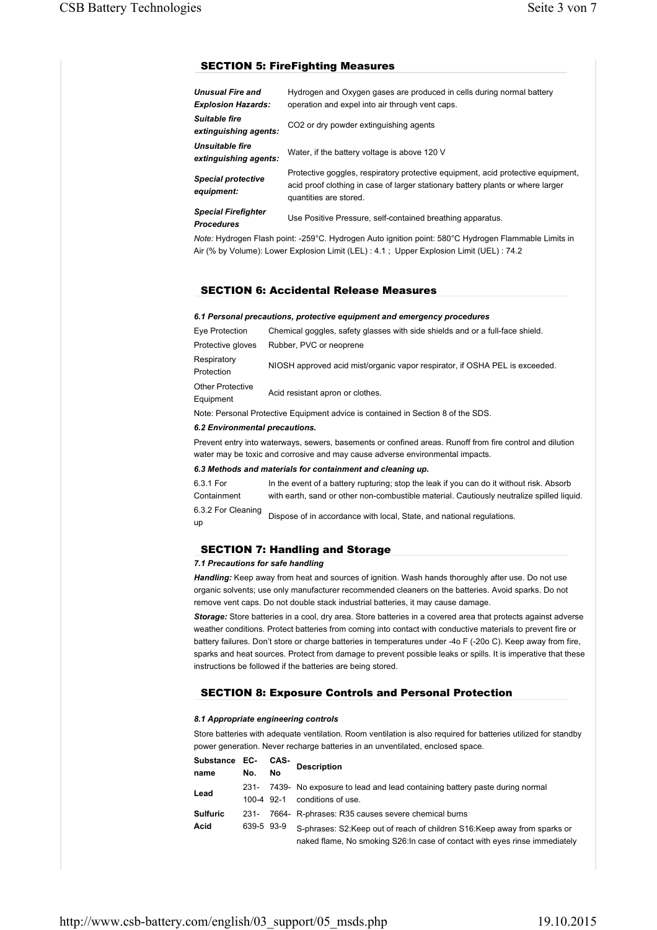# SECTION 5: FireFighting Measures

| <b>Unusual Fire and</b><br><b>Explosion Hazards:</b> | Hydrogen and Oxygen gases are produced in cells during normal battery<br>operation and expel into air through vent caps.                                                                      |
|------------------------------------------------------|-----------------------------------------------------------------------------------------------------------------------------------------------------------------------------------------------|
| Suitable fire<br>extinguishing agents:               | CO <sub>2</sub> or dry powder extinguishing agents                                                                                                                                            |
| Unsuitable fire<br>extinguishing agents:             | Water, if the battery voltage is above 120 V                                                                                                                                                  |
| <b>Special protective</b><br>equipment:              | Protective goggles, respiratory protective equipment, acid protective equipment,<br>acid proof clothing in case of larger stationary battery plants or where larger<br>quantities are stored. |
| <b>Special Firefighter</b><br><b>Procedures</b>      | Use Positive Pressure, self-contained breathing apparatus.                                                                                                                                    |

*Note:* Hydrogen Flash point: -259°C. Hydrogen Auto ignition point: 580°C Hydrogen Flammable Limits in Air (% by Volume): Lower Explosion Limit (LEL) : 4.1 ; Upper Explosion Limit (UEL) : 74.2

#### SECTION 6: Accidental Release Measures

#### *6.1 Personal precautions, protective equipment and emergency procedures*

| Eye Protection                       | Chemical goggles, safety glasses with side shields and or a full-face shield. |
|--------------------------------------|-------------------------------------------------------------------------------|
| Protective gloves                    | Rubber, PVC or neoprene                                                       |
| Respiratory<br>Protection            | NIOSH approved acid mist/organic vapor respirator, if OSHA PEL is exceeded.   |
| <b>Other Protective</b><br>Equipment | Acid resistant apron or clothes.                                              |

Note: Personal Protective Equipment advice is contained in Section 8 of the SDS.

### *6.2 Environmental precautions.*

Prevent entry into waterways, sewers, basements or confined areas. Runoff from fire control and dilution water may be toxic and corrosive and may cause adverse environmental impacts.

#### *6.3 Methods and materials for containment and cleaning up.*

| 6.3.1 For          | In the event of a battery rupturing; stop the leak if you can do it without risk. Absorb  |
|--------------------|-------------------------------------------------------------------------------------------|
| Containment        | with earth, sand or other non-combustible material. Cautiously neutralize spilled liquid. |
| 6.3.2 For Cleaning | Dispose of in accordance with local, State, and national regulations.                     |
| up                 |                                                                                           |

# SECTION 7: Handling and Storage

#### *7.1 Precautions for safe handling*

*Handling:* Keep away from heat and sources of ignition. Wash hands thoroughly after use. Do not use organic solvents; use only manufacturer recommended cleaners on the batteries. Avoid sparks. Do not remove vent caps. Do not double stack industrial batteries, it may cause damage.

*Storage:* Store batteries in a cool, dry area. Store batteries in a covered area that protects against adverse weather conditions. Protect batteries from coming into contact with conductive materials to prevent fire or battery failures. Don't store or charge batteries in temperatures under -4o F (-20o C). Keep away from fire, sparks and heat sources. Protect from damage to prevent possible leaks or spills. It is imperative that these instructions be followed if the batteries are being stored.

## SECTION 8: Exposure Controls and Personal Protection

## *8.1 Appropriate engineering controls*

Store batteries with adequate ventilation. Room ventilation is also required for batteries utilized for standby power generation. Never recharge batteries in an unventilated, enclosed space.

| Substance EC-   |                    | CAS- | <b>Description</b>                                                                              |
|-----------------|--------------------|------|-------------------------------------------------------------------------------------------------|
| name            | No.                | No   |                                                                                                 |
| Lead            | 231-<br>100-4 92-1 |      | 7439- No exposure to lead and lead containing battery paste during normal<br>conditions of use. |
| <b>Sulfuric</b> | 231-               |      | 7664- R-phrases: R35 causes severe chemical burns                                               |
| Acid            | 639-5 93-9         |      | S-phrases: S2: Keep out of reach of children S16: Keep away from sparks or                      |
|                 |                    |      | naked flame, No smoking S26: In case of contact with eyes rinse immediately                     |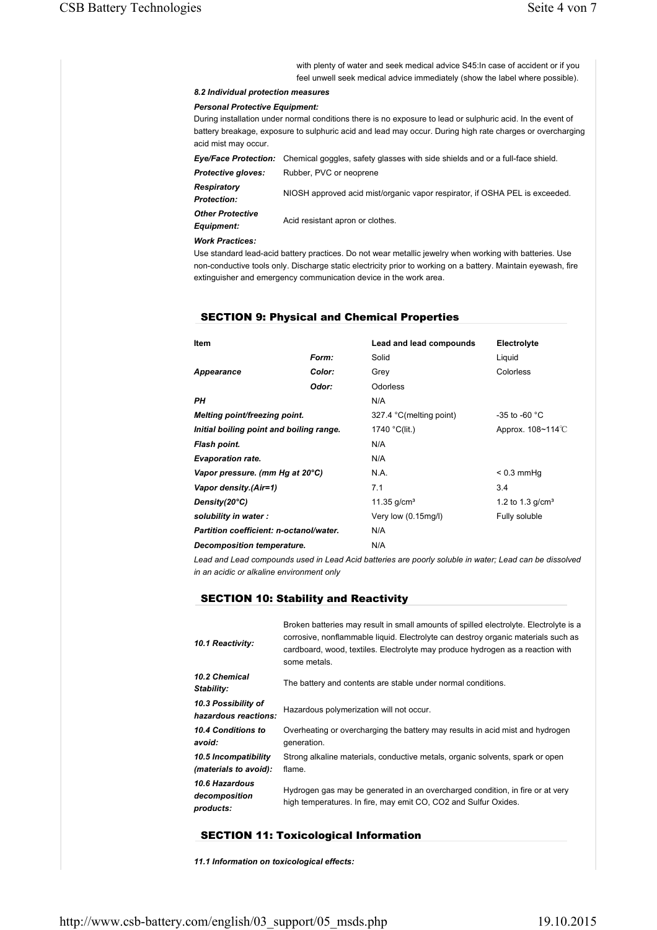with plenty of water and seek medical advice S45:In case of accident or if you feel unwell seek medical advice immediately (show the label where possible).

# *8.2 Individual protection measures*

#### *Personal Protective Equipment:*

During installation under normal conditions there is no exposure to lead or sulphuric acid. In the event of battery breakage, exposure to sulphuric acid and lead may occur. During high rate charges or overcharging acid mist may occur.

*Eye/Face Protection:* Chemical goggles, safety glasses with side shields and or a full-face shield. *Protective gloves:* Rubber, PVC or neoprene

*Respiratory Protection:* NIOSH approved acid mist/organic vapor respirator, if OSHA PEL is exceeded. *Other Protective* 

*Equipment:* Acid resistant apron or clothes.

*Work Practices:*

Use standard lead-acid battery practices. Do not wear metallic jewelry when working with batteries. Use non-conductive tools only. Discharge static electricity prior to working on a battery. Maintain eyewash, fire extinguisher and emergency communication device in the work area.

## SECTION 9: Physical and Chemical Properties

| Item                                     |        | Lead and lead compounds | Electrolyte                   |
|------------------------------------------|--------|-------------------------|-------------------------------|
|                                          | Form:  | Solid                   | Liguid                        |
| Appearance                               | Color: | Grey                    | Colorless                     |
|                                          | Odor:  | <b>Odorless</b>         |                               |
| PН                                       |        | N/A                     |                               |
| Melting point/freezing point.            |        | 327.4 °C(melting point) | -35 to -60 $^{\circ}$ C       |
| Initial boiling point and boiling range. |        | 1740 °C(lit.)           | Approx. $108 - 114^{\circ}$ C |
| Flash point.                             |        | N/A                     |                               |
| <b>Evaporation rate.</b>                 |        | N/A                     |                               |
| Vapor pressure. (mm Hg at 20°C)          |        | N.A.                    | $< 0.3$ mmHq                  |
| Vapor density.(Air=1)                    |        | 7.1                     | 3.4                           |
| Density(20°C)                            |        | 11.35 $g/cm3$           | 1.2 to 1.3 $q/cm3$            |
| solubility in water:                     |        | Very low (0.15mg/l)     | Fully soluble                 |
| Partition coefficient: n-octanol/water.  |        | N/A                     |                               |
| <b>Decomposition temperature.</b>        |        | N/A                     |                               |

*Lead and Lead compounds used in Lead Acid batteries are poorly soluble in water; Lead can be dissolved in an acidic or alkaline environment only*

# SECTION 10: Stability and Reactivity

| 10.1 Reactivity:                              | Broken batteries may result in small amounts of spilled electrolyte. Electrolyte is a<br>corrosive, nonflammable liquid. Electrolyte can destroy organic materials such as<br>cardboard, wood, textiles. Electrolyte may produce hydrogen as a reaction with<br>some metals. |
|-----------------------------------------------|------------------------------------------------------------------------------------------------------------------------------------------------------------------------------------------------------------------------------------------------------------------------------|
| 10.2 Chemical<br>Stability:                   | The battery and contents are stable under normal conditions.                                                                                                                                                                                                                 |
| 10.3 Possibility of<br>hazardous reactions:   | Hazardous polymerization will not occur.                                                                                                                                                                                                                                     |
| 10.4 Conditions to<br>avoid:                  | Overheating or overcharging the battery may results in acid mist and hydrogen<br>generation.                                                                                                                                                                                 |
| 10.5 Incompatibility<br>(materials to avoid): | Strong alkaline materials, conductive metals, organic solvents, spark or open<br>flame.                                                                                                                                                                                      |
| 10.6 Hazardous<br>decomposition<br>products:  | Hydrogen gas may be generated in an overcharged condition, in fire or at very<br>high temperatures. In fire, may emit CO, CO2 and Sulfur Oxides.                                                                                                                             |

## SECTION 11: Toxicological Information

*11.1 Information on toxicological effects:*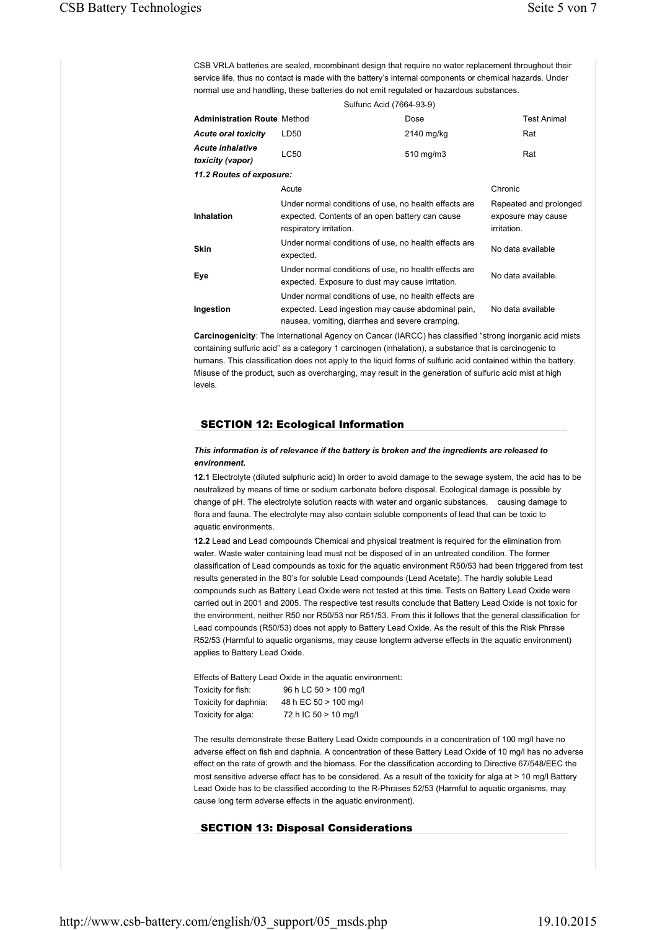CSB VRLA batteries are sealed, recombinant design that require no water replacement throughout their service life, thus no contact is made with the battery's internal components or chemical hazards. Under normal use and handling, these batteries do not emit regulated or hazardous substances.

| Sulfuric Acid (7664-93-9)                   |                                                                                                                                                                |                                                             |                    |  |  |
|---------------------------------------------|----------------------------------------------------------------------------------------------------------------------------------------------------------------|-------------------------------------------------------------|--------------------|--|--|
| <b>Administration Route Method</b>          |                                                                                                                                                                | Dose                                                        | <b>Test Animal</b> |  |  |
| <b>Acute oral toxicity</b>                  | LD50                                                                                                                                                           | 2140 mg/kg                                                  | Rat                |  |  |
| <b>Acute inhalative</b><br>toxicity (vapor) | LC50                                                                                                                                                           | 510 mg/m3                                                   | Rat                |  |  |
| 11.2 Routes of exposure:                    |                                                                                                                                                                |                                                             |                    |  |  |
|                                             | Acute                                                                                                                                                          |                                                             | Chronic            |  |  |
| Inhalation                                  | Under normal conditions of use, no health effects are<br>expected. Contents of an open battery can cause<br>respiratory irritation.                            | Repeated and prolonged<br>exposure may cause<br>irritation. |                    |  |  |
| <b>Skin</b>                                 | Under normal conditions of use, no health effects are<br>expected.                                                                                             |                                                             | No data available  |  |  |
| Eye                                         | Under normal conditions of use, no health effects are<br>expected. Exposure to dust may cause irritation.                                                      |                                                             | No data available. |  |  |
| Ingestion                                   | Under normal conditions of use, no health effects are<br>expected. Lead ingestion may cause abdominal pain,<br>nausea, vomiting, diarrhea and severe cramping. |                                                             | No data available  |  |  |

**Carcinogenicity**: The International Agency on Cancer (IARCC) has classified "strong inorganic acid mists containing sulfuric acid" as a category 1 carcinogen (inhalation), a substance that is carcinogenic to humans. This classification does not apply to the liquid forms of sulfuric acid contained within the battery. Misuse of the product, such as overcharging, may result in the generation of sulfuric acid mist at high levels.

# SECTION 12: Ecological Information

#### *This information is of relevance if the battery is broken and the ingredients are released to environment.*

**12.1** Electrolyte (diluted sulphuric acid) In order to avoid damage to the sewage system, the acid has to be neutralized by means of time or sodium carbonate before disposal. Ecological damage is possible by change of pH. The electrolyte solution reacts with water and organic substances, causing damage to flora and fauna. The electrolyte may also contain soluble components of lead that can be toxic to aquatic environments.

**12.2** Lead and Lead compounds Chemical and physical treatment is required for the elimination from water. Waste water containing lead must not be disposed of in an untreated condition. The former classification of Lead compounds as toxic for the aquatic environment R50/53 had been triggered from test results generated in the 80's for soluble Lead compounds (Lead Acetate). The hardly soluble Lead compounds such as Battery Lead Oxide were not tested at this time. Tests on Battery Lead Oxide were carried out in 2001 and 2005. The respective test results conclude that Battery Lead Oxide is not toxic for the environment, neither R50 nor R50/53 nor R51/53. From this it follows that the general classification for Lead compounds (R50/53) does not apply to Battery Lead Oxide. As the result of this the Risk Phrase R52/53 (Harmful to aquatic organisms, may cause longterm adverse effects in the aquatic environment) applies to Battery Lead Oxide.

Effects of Battery Lead Oxide in the aquatic environment: Toxicity for fish: 96 h LC 50 > 100 mg/l Toxicity for daphnia: 48 h EC 50 > 100 mg/l Toxicity for alga: 72 h IC 50 > 10 mg/l

The results demonstrate these Battery Lead Oxide compounds in a concentration of 100 mg/l have no adverse effect on fish and daphnia. A concentration of these Battery Lead Oxide of 10 mg/l has no adverse effect on the rate of growth and the biomass. For the classification according to Directive 67/548/EEC the most sensitive adverse effect has to be considered. As a result of the toxicity for alga at > 10 mg/l Battery Lead Oxide has to be classified according to the R-Phrases 52/53 (Harmful to aquatic organisms, may cause long term adverse effects in the aquatic environment).

## SECTION 13: Disposal Considerations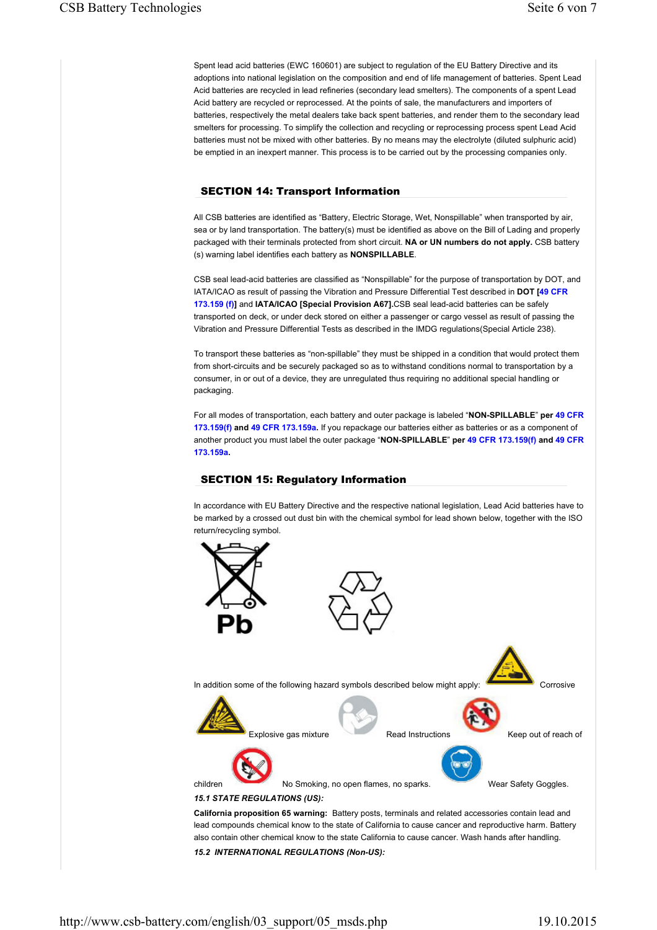Spent lead acid batteries (EWC 160601) are subject to regulation of the EU Battery Directive and its adoptions into national legislation on the composition and end of life management of batteries. Spent Lead Acid batteries are recycled in lead refineries (secondary lead smelters). The components of a spent Lead Acid battery are recycled or reprocessed. At the points of sale, the manufacturers and importers of batteries, respectively the metal dealers take back spent batteries, and render them to the secondary lead smelters for processing. To simplify the collection and recycling or reprocessing process spent Lead Acid batteries must not be mixed with other batteries. By no means may the electrolyte (diluted sulphuric acid) be emptied in an inexpert manner. This process is to be carried out by the processing companies only.

# SECTION 14: Transport Information

All CSB batteries are identified as "Battery, Electric Storage, Wet, Nonspillable" when transported by air, sea or by land transportation. The battery(s) must be identified as above on the Bill of Lading and properly packaged with their terminals protected from short circuit. **NA or UN numbers do not apply.** CSB battery (s) warning label identifies each battery as **NONSPILLABLE**.

CSB seal lead-acid batteries are classified as "Nonspillable" for the purpose of transportation by DOT, and IATA/ICAO as result of passing the Vibration and Pressure Differential Test described in **DOT [49 CFR 173.159 (f)]** and **IATA/ICAO [Special Provision A67].**CSB seal lead-acid batteries can be safely transported on deck, or under deck stored on either a passenger or cargo vessel as result of passing the Vibration and Pressure Differential Tests as described in the IMDG regulations(Special Article 238).

To transport these batteries as "non-spillable" they must be shipped in a condition that would protect them from short-circuits and be securely packaged so as to withstand conditions normal to transportation by a consumer, in or out of a device, they are unregulated thus requiring no additional special handling or packaging.

For all modes of transportation, each battery and outer package is labeled "**NON-SPILLABLE**" **per 49 CFR 173.159(f) and 49 CFR 173.159a.** If you repackage our batteries either as batteries or as a component of another product you must label the outer package "**NON-SPILLABLE**" **per 49 CFR 173.159(f) and 49 CFR 173.159a.**

## SECTION 15: Regulatory Information

In accordance with EU Battery Directive and the respective national legislation, Lead Acid batteries have to be marked by a crossed out dust bin with the chemical symbol for lead shown below, together with the ISO return/recycling symbol.



*15.2 INTERNATIONAL REGULATIONS (Non-US):*